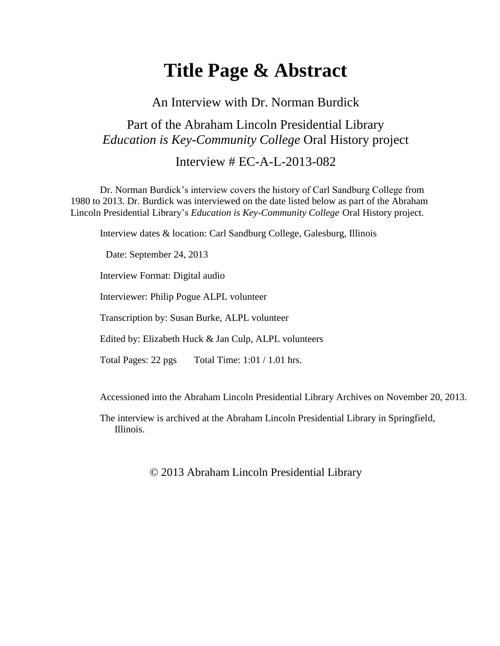# **Title Page & Abstract**

An Interview with Dr. Norman Burdick

## Part of the Abraham Lincoln Presidential Library *Education is Key-Community College* Oral History project

### Interview # EC-A-L-2013-082

Dr. Norman Burdick's interview covers the history of Carl Sandburg College from 1980 to 2013. Dr. Burdick was interviewed on the date listed below as part of the Abraham Lincoln Presidential Library's *Education is Key-Community College* Oral History project.

Interview dates & location: Carl Sandburg College, Galesburg, Illinois

Date: September 24, 2013

Interview Format: Digital audio

Interviewer: Philip Pogue ALPL volunteer

Transcription by: Susan Burke, ALPL volunteer

Edited by: Elizabeth Huck & Jan Culp, ALPL volunteers

Total Pages: 22 pgs Total Time: 1:01 / 1.01 hrs.

Accessioned into the Abraham Lincoln Presidential Library Archives on November 20, 2013.

The interview is archived at the Abraham Lincoln Presidential Library in Springfield, Illinois.

#### © 2013 Abraham Lincoln Presidential Library